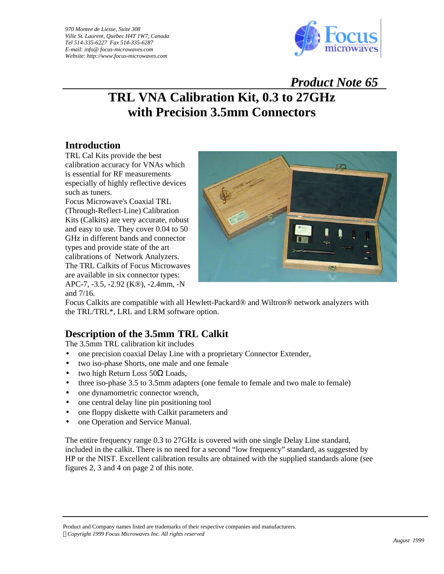

 *Product Note 65*

# **TRL VNA Calibration Kit, 0.3 to 27GHz with Precision 3.5mm Connectors**

## **Introduction**

TRL Cal Kits provide the best calibration accuracy for VNAs which is essential for RF measurements especially of highly reflective devices such as tuners.

Focus Microwave's Coaxial TRL (Through-Reflect-Line) Calibration Kits (Calkits) are very accurate, robust and easy to use. They cover 0.04 to 50 GHz in different bands and connector types and provide state of the art calibrations of Network Analyzers. The TRL Calkits of Focus Microwaves are available in six connector types: APC-7, -3.5, -2.92 (K®), -2.4mm, -N and 7/16.



Focus Calkits are compatible with all Hewlett-Packard® and Wiltron® network analyzers with the TRL/TRL\*, LRL and LRM software option.

# **Description of the 3.5mm TRL Calkit**

The 3.5mm TRL calibration kit includes

- one precision coaxial Delay Line with a proprietary Connector Extender,
- two iso-phase Shorts, one male and one female
- two high Return Loss  $50\Omega$  Loads,
- three iso-phase 3.5 to 3.5mm adapters (one female to female and two male to female)
- one dynamometric connector wrench,
- one central delay line pin positioning tool
- one floppy diskette with Calkit parameters and
- one Operation and Service Manual.

The entire frequency range 0.3 to 27GHz is covered with one single Delay Line standard, included in the calkit. There is no need for a second "low frequency" standard, as suggested by HP or the NIST. Excellent calibration results are obtained with the supplied standards alone (see figures 2, 3 and 4 on page 2 of this note.

Product and Company names listed are trademarks of their respective companies and manufacturers. *ÓCopyright 1999 Focus Microwaves Inc. All rights reserved*